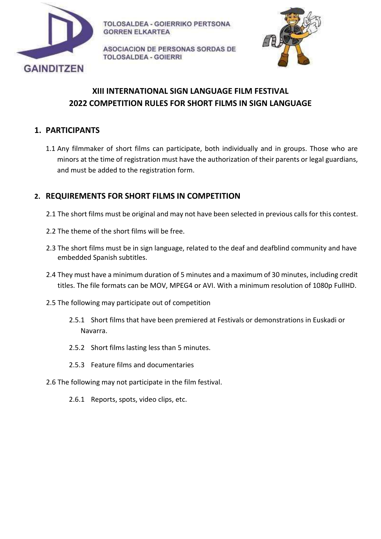

ASOCIACION DE PERSONAS SORDAS DE **TOLOSALDEA - GOIERRI** 



# **XIII INTERNATIONAL SIGN LANGUAGE FILM FESTIVAL 2022 COMPETITION RULES FOR SHORT FILMS IN SIGN LANGUAGE**

# **1. PARTICIPANTS**

1.1 Any filmmaker of short films can participate, both individually and in groups. Those who are minors at the time of registration must have the authorization of their parents or legal guardians, and must be added to the registration form.

# **2. REQUIREMENTS FOR SHORT FILMS IN COMPETITION**

- 2.1 The short films must be original and may not have been selected in previous calls for this contest.
- 2.2 The theme of the short films will be free.
- 2.3 The short films must be in sign language, related to the deaf and deafblind community and have embedded Spanish subtitles.
- 2.4 They must have a minimum duration of 5 minutes and a maximum of 30 minutes, including credit titles. The file formats can be MOV, MPEG4 or AVI. With a minimum resolution of 1080p FullHD.
- 2.5 The following may participate out of competition
	- 2.5.1 Short films that have been premiered at Festivals or demonstrations in Euskadi or Navarra.
	- 2.5.2 Short films lasting less than 5 minutes.
	- 2.5.3 Feature films and documentaries
- 2.6 The following may not participate in the film festival.
	- 2.6.1 Reports, spots, video clips, etc.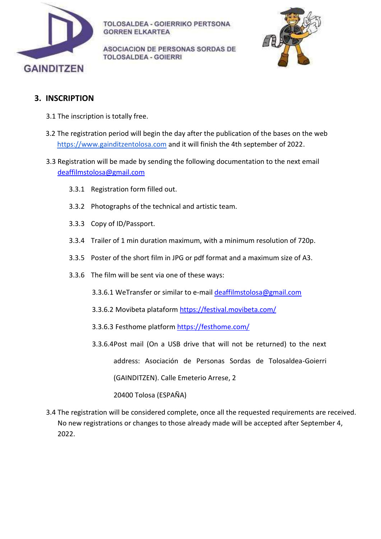

ASOCIACION DE PERSONAS SORDAS DE **TOLOSALDEA - GOIERRI** 



#### **3. INSCRIPTION**

- 3.1 The inscription is totally free.
- 3.2 The registration period will begin the day after the publication of the bases on the web [https://www.gainditzentolosa.com](https://www.gainditzentolosa.com/) and it will finish the 4th september of 2022.
- 3.3 Registration will be made by sending the following documentation to the next email [deaffilmstolosa@gmail.com](mailto:deaffilmstolosa@gmail.com)
	- 3.3.1 Registration form filled out.
	- 3.3.2 Photographs of the technical and artistic team.
	- 3.3.3 Copy of ID/Passport.
	- 3.3.4 Trailer of 1 min duration maximum, with a minimum resolution of 720p.
	- 3.3.5 Poster of the short film in JPG or pdf format and a maximum size of A3.
	- 3.3.6 The film will be sent via one of these ways:
		- 3.3.6.1 WeTransfer or similar to e-mail [deaffilmstolosa@gmail.com](mailto:deaffilmstolosa@gmail.com)
		- 3.3.6.2 Movibeta plataform [https://festival.movibeta.com/](https://festival.movibeta.com/web/controllers/siteController.php)
		- 3.3.6.3 Festhome platfor[m https://festhome.com/](https://festhome.com/)
		- 3.3.6.4Post mail (On a USB drive that will not be returned) to the next address: Asociación de Personas Sordas de Tolosaldea-Goierri (GAINDITZEN). Calle Emeterio Arrese, 2 20400 Tolosa (ESPAÑA)
- 3.4 The registration will be considered complete, once all the requested requirements are received. No new registrations or changes to those already made will be accepted after September 4, 2022.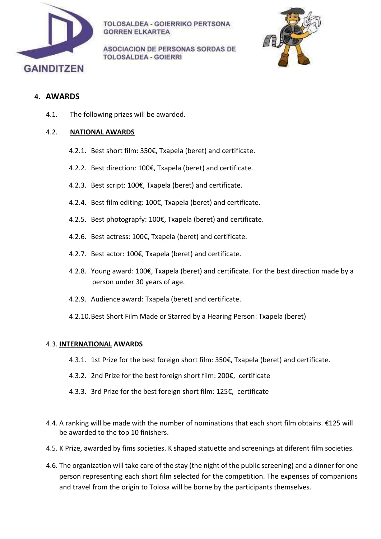

**ASOCIACION DE PERSONAS SORDAS DE TOLOSALDEA - GOIERRI** 



#### **4. AWARDS**

4.1. The following prizes will be awarded.

#### 4.2. **NATIONAL AWARDS**

- 4.2.1. Best short film: 350€, Txapela (beret) and certificate.
- 4.2.2. Best direction: 100€, Txapela (beret) and certificate.
- 4.2.3. Best script: 100€, Txapela (beret) and certificate.
- 4.2.4. Best film editing: 100€, Txapela (beret) and certificate.
- 4.2.5. Best photograpfy: 100€, Txapela (beret) and certificate.
- 4.2.6. Best actress: 100€, Txapela (beret) and certificate.
- 4.2.7. Best actor: 100€, Txapela (beret) and certificate.
- 4.2.8. Young award: 100€, Txapela (beret) and certificate. For the best direction made by a person under 30 years of age.
- 4.2.9. Audience award: Txapela (beret) and certificate.
- 4.2.10.Best Short Film Made or Starred by a Hearing Person: Txapela (beret)

#### 4.3. **INTERNATIONAL AWARDS**

- 4.3.1. 1st Prize for the best foreign short film: 350€, Txapela (beret) and certificate.
- 4.3.2. 2nd Prize for the best foreign short film: 200€, certificate
- 4.3.3. 3rd Prize for the best foreign short film: 125€, certificate
- 4.4. A ranking will be made with the number of nominations that each short film obtains. €125 will be awarded to the top 10 finishers.
- 4.5. K Prize, awarded by fims societies. K shaped statuette and screenings at diferent film societies.
- 4.6. The organization will take care of the stay (the night of the public screening) and a dinner for one person representing each short film selected for the competition. The expenses of companions and travel from the origin to Tolosa will be borne by the participants themselves.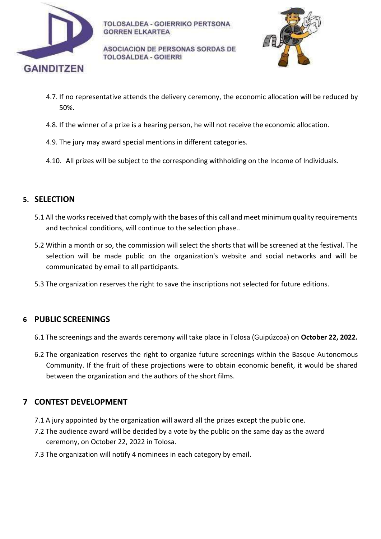

**ASOCIACION DE PERSONAS SORDAS DE TOLOSALDEA - GOIERRI** 



- 4.7. If no representative attends the delivery ceremony, the economic allocation will be reduced by 50%.
- 4.8. If the winner of a prize is a hearing person, he will not receive the economic allocation.
- 4.9. The jury may award special mentions in different categories.
- 4.10. All prizes will be subject to the corresponding withholding on the Income of Individuals.

# **5. SELECTION**

- 5.1 All the works received that comply with the bases of this call and meet minimum quality requirements and technical conditions, will continue to the selection phase..
- 5.2 Within a month or so, the commission will select the shorts that will be screened at the festival. The selection will be made public on the organization's website and social networks and will be communicated by email to all participants.
- 5.3 The organization reserves the right to save the inscriptions not selected for future editions.

# **6 PUBLIC SCREENINGS**

- 6.1 The screenings and the awards ceremony will take place in Tolosa (Guipúzcoa) on **October 22, 2022.**
- 6.2 The organization reserves the right to organize future screenings within the Basque Autonomous Community. If the fruit of these projections were to obtain economic benefit, it would be shared between the organization and the authors of the short films.

# **7 CONTEST DEVELOPMENT**

- 7.1 A jury appointed by the organization will award all the prizes except the public one.
- 7.2 The audience award will be decided by a vote by the public on the same day as the award ceremony, on October 22, 2022 in Tolosa.
- 7.3 The organization will notify 4 nominees in each category by email.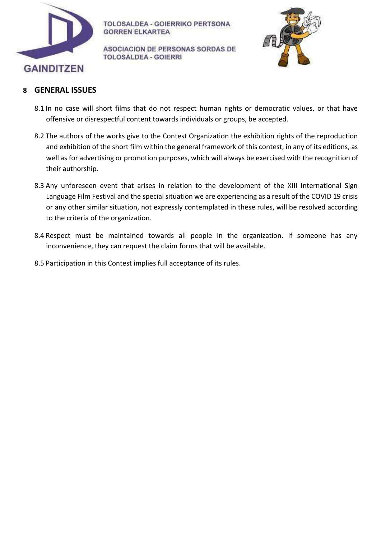

ASOCIACION DE PERSONAS SORDAS DE **TOLOSALDEA - GOIERRI** 



#### **8 GENERAL ISSUES**

- 8.1 In no case will short films that do not respect human rights or democratic values, or that have offensive or disrespectful content towards individuals or groups, be accepted.
- 8.2 The authors of the works give to the Contest Organization the exhibition rights of the reproduction and exhibition of the short film within the general framework of this contest, in any of its editions, as well as for advertising or promotion purposes, which will always be exercised with the recognition of their authorship.
- 8.3 Any unforeseen event that arises in relation to the development of the XIII International Sign Language Film Festival and the special situation we are experiencing as a result of the COVID 19 crisis or any other similar situation, not expressly contemplated in these rules, will be resolved according to the criteria of the organization.
- 8.4 Respect must be maintained towards all people in the organization. If someone has any inconvenience, they can request the claim forms that will be available.
- 8.5 Participation in this Contest implies full acceptance of its rules.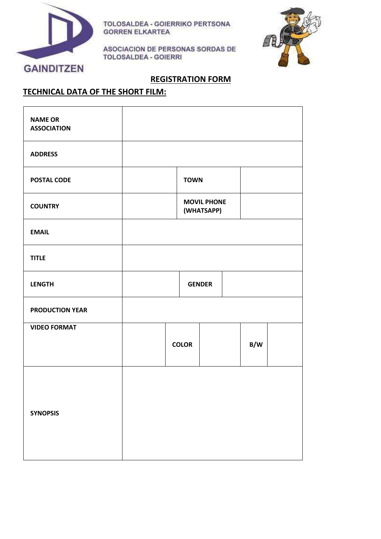

ASOCIACION DE PERSONAS SORDAS DE **TOLOSALDEA - GOIERRI** 



#### **REGISTRATION FORM**

# **TECHNICAL DATA OF THE SHORT FILM:**

| <b>NAME OR</b><br><b>ASSOCIATION</b> |                                  |               |  |  |  |     |  |
|--------------------------------------|----------------------------------|---------------|--|--|--|-----|--|
| <b>ADDRESS</b>                       |                                  |               |  |  |  |     |  |
| <b>POSTAL CODE</b>                   | <b>TOWN</b>                      |               |  |  |  |     |  |
| <b>COUNTRY</b>                       | <b>MOVIL PHONE</b><br>(WHATSAPP) |               |  |  |  |     |  |
| <b>EMAIL</b>                         |                                  |               |  |  |  |     |  |
| <b>TITLE</b>                         |                                  |               |  |  |  |     |  |
| <b>LENGTH</b>                        |                                  | <b>GENDER</b> |  |  |  |     |  |
| <b>PRODUCTION YEAR</b>               |                                  |               |  |  |  |     |  |
| <b>VIDEO FORMAT</b>                  |                                  |               |  |  |  |     |  |
|                                      |                                  | <b>COLOR</b>  |  |  |  | B/W |  |
|                                      |                                  |               |  |  |  |     |  |
| <b>SYNOPSIS</b>                      |                                  |               |  |  |  |     |  |